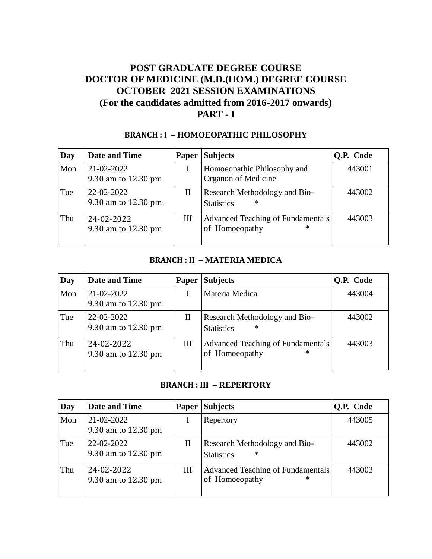# **POST GRADUATE DEGREE COURSE DOCTOR OF MEDICINE (M.D.(HOM.) DEGREE COURSE OCTOBER 2021 SESSION EXAMINATIONS (For the candidates admitted from 2016-2017 onwards) PART - I**

### **BRANCH : I – HOMOEOPATHIC PHILOSOPHY**

| Day | <b>Date and Time</b>              | <b>Paper</b> | <b>Subjects</b>                                               | Q.P. Code |
|-----|-----------------------------------|--------------|---------------------------------------------------------------|-----------|
| Mon | 21-02-2022<br>9.30 am to 12.30 pm |              | Homoeopathic Philosophy and<br>Organon of Medicine            | 443001    |
| Tue | 22-02-2022<br>9.30 am to 12.30 pm | П            | Research Methodology and Bio-<br>∗<br><b>Statistics</b>       | 443002    |
| Thu | 24-02-2022<br>9.30 am to 12.30 pm | Ш            | Advanced Teaching of Fundamentals<br>of Homoeopathy<br>$\ast$ | 443003    |

#### **BRANCH : II – MATERIA MEDICA**

| Day | <b>Date and Time</b>              | <b>Paper</b> | <b>Subjects</b>                                               | Q.P. Code |
|-----|-----------------------------------|--------------|---------------------------------------------------------------|-----------|
| Mon | 21-02-2022<br>9.30 am to 12.30 pm |              | Materia Medica                                                | 443004    |
| Tue | 22-02-2022<br>9.30 am to 12.30 pm | $_{\rm II}$  | Research Methodology and Bio-<br>$\ast$<br><b>Statistics</b>  | 443002    |
| Thu | 24-02-2022<br>9.30 am to 12.30 pm | Ш            | Advanced Teaching of Fundamentals<br>of Homoeopathy<br>$\ast$ | 443003    |

### **BRANCH : III – REPERTORY**

| Day | <b>Date and Time</b>              | <b>Paper</b> | <b>Subjects</b>                                              | <b>O.P.</b> Code |
|-----|-----------------------------------|--------------|--------------------------------------------------------------|------------------|
| Mon | 21-02-2022<br>9.30 am to 12.30 pm |              | Repertory                                                    | 443005           |
| Tue | 22-02-2022<br>9.30 am to 12.30 pm | $_{\rm II}$  | Research Methodology and Bio-<br>$\ast$<br><b>Statistics</b> | 443002           |
| Thu | 24-02-2022<br>9.30 am to 12.30 pm | Ш            | Advanced Teaching of Fundamentals<br>of Homoeopathy<br>∗     | 443003           |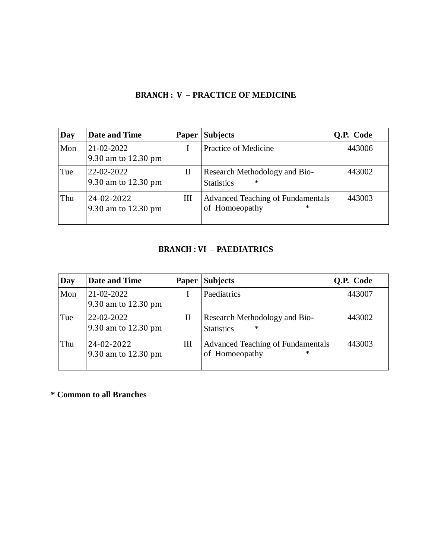### **BRANCH : V – PRACTICE OF MEDICINE**

| Day | Date and Time                     | <b>Paper</b> | <b>Subjects</b>                                                 | Q.P. Code |
|-----|-----------------------------------|--------------|-----------------------------------------------------------------|-----------|
| Mon | 21-02-2022<br>9.30 am to 12.30 pm |              | <b>Practice of Medicine</b>                                     | 443006    |
| Tue | 22-02-2022<br>9.30 am to 12.30 pm | П            | Research Methodology and Bio-<br>$\ast$<br><b>Statistics</b>    | 443002    |
| Thu | 24-02-2022<br>9.30 am to 12.30 pm | Ш            | <b>Advanced Teaching of Fundamentals</b><br>of Homoeopathy<br>∗ | 443003    |

### **BRANCH : VI – PAEDIATRICS**

| Day | Date and Time                     | <b>Paper</b> | <b>Subjects</b>                                              | Q.P. Code |
|-----|-----------------------------------|--------------|--------------------------------------------------------------|-----------|
| Mon | 21-02-2022<br>9.30 am to 12.30 pm |              | Paediatrics                                                  | 443007    |
| Tue | 22-02-2022<br>9.30 am to 12.30 pm | $_{\rm II}$  | Research Methodology and Bio-<br>$\ast$<br><b>Statistics</b> | 443002    |
| Thu | 24-02-2022<br>9.30 am to 12.30 pm | Ш            | Advanced Teaching of Fundamentals<br>of Homoeopathy<br>∗     | 443003    |

**\* Common to all Branches**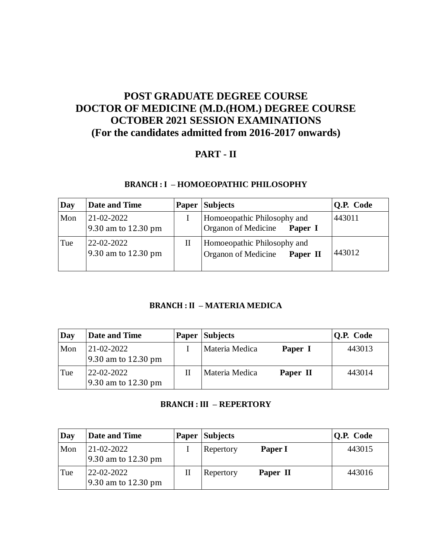# **POST GRADUATE DEGREE COURSE DOCTOR OF MEDICINE (M.D.(HOM.) DEGREE COURSE OCTOBER 2021 SESSION EXAMINATIONS (For the candidates admitted from 2016-2017 onwards)**

# **PART - II**

### **BRANCH : I – HOMOEOPATHIC PHILOSOPHY**

| Day | Date and Time                           | Paper | <b>Subjects</b>                                                | Q.P. Code |
|-----|-----------------------------------------|-------|----------------------------------------------------------------|-----------|
| Mon | $21 - 02 - 2022$<br>9.30 am to 12.30 pm |       | Homoeopathic Philosophy and<br>Organon of Medicine<br>Paper I  | 443011    |
| Tue | 22-02-2022<br>9.30 am to 12.30 pm       | П     | Homoeopathic Philosophy and<br>Organon of Medicine<br>Paper II | 443012    |

### **BRANCH : II – MATERIA MEDICA**

| Day | <b>Date and Time</b>              | <b>Paper Subjects</b> |          | $ Q.P. \text{ Code} $ |
|-----|-----------------------------------|-----------------------|----------|-----------------------|
| Mon | 21-02-2022<br>9.30 am to 12.30 pm | Materia Medica        | Paper I  | 443013                |
| Tue | 22-02-2022<br>9.30 am to 12.30 pm | Materia Medica        | Paper II | 443014                |

### **BRANCH : III – REPERTORY**

| Day | <b>Date and Time</b>              |   | <b>Paper Subjects</b>   |          | <b>Q.P.</b> Code |
|-----|-----------------------------------|---|-------------------------|----------|------------------|
| Mon | 21-02-2022<br>9.30 am to 12.30 pm |   | $Rec{Re}$               | Paper I  | 443015           |
| Tue | 22-02-2022<br>9.30 am to 12.30 pm | Н | $\mathsf{Re}$ Repertory | Paper II | 443016           |